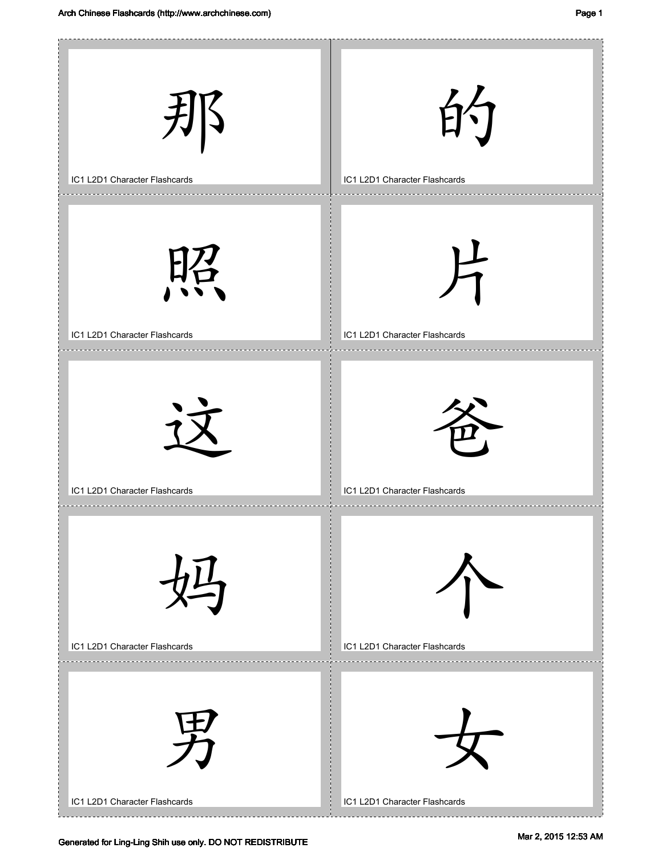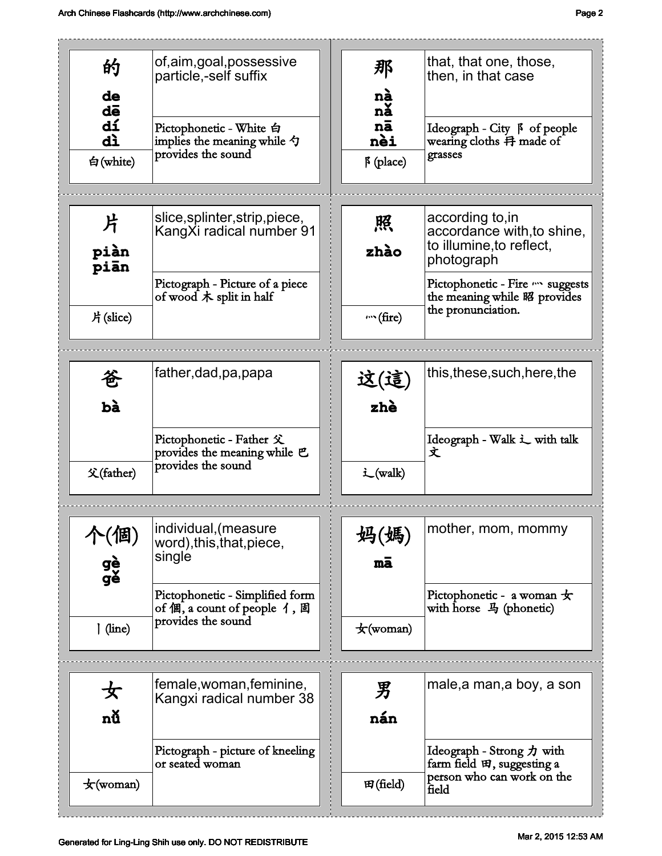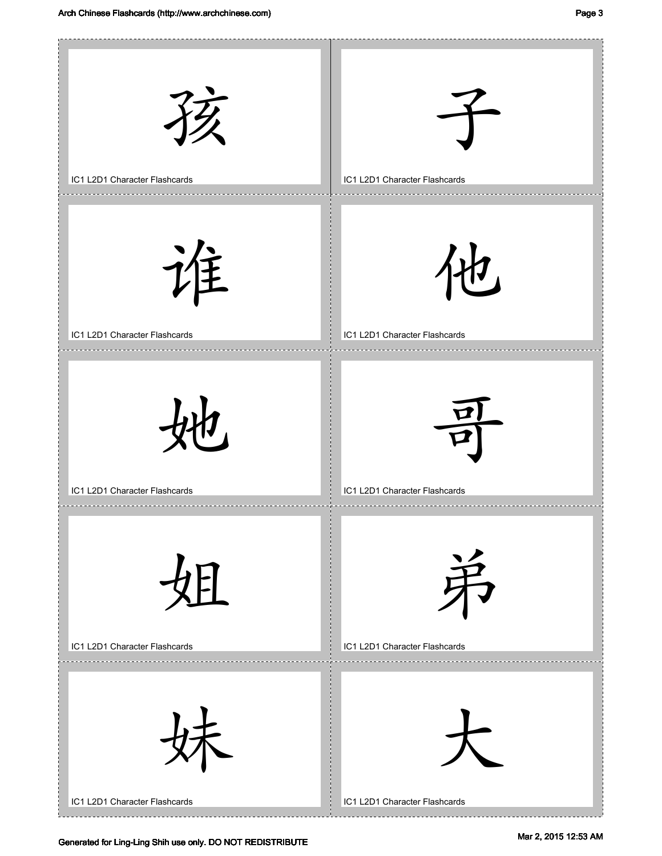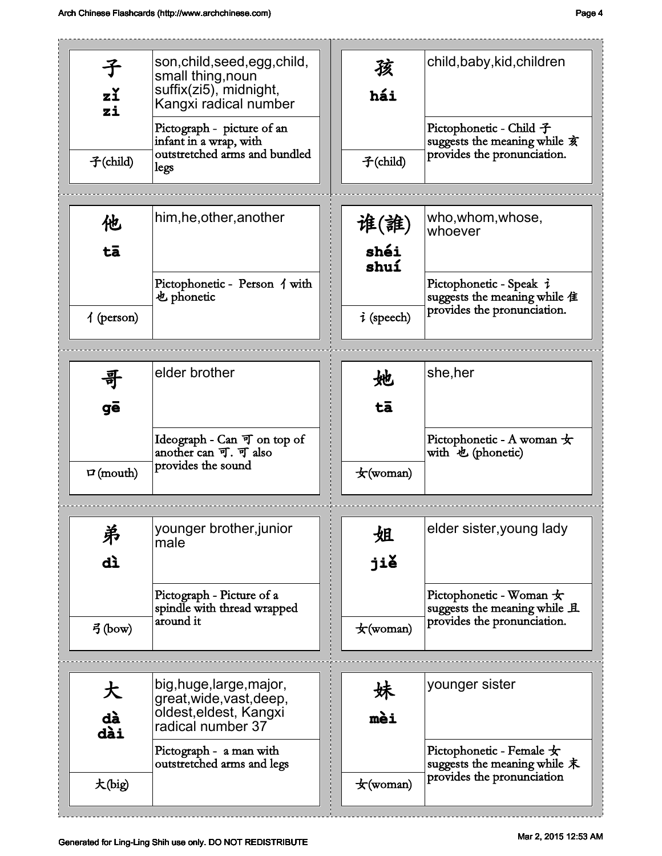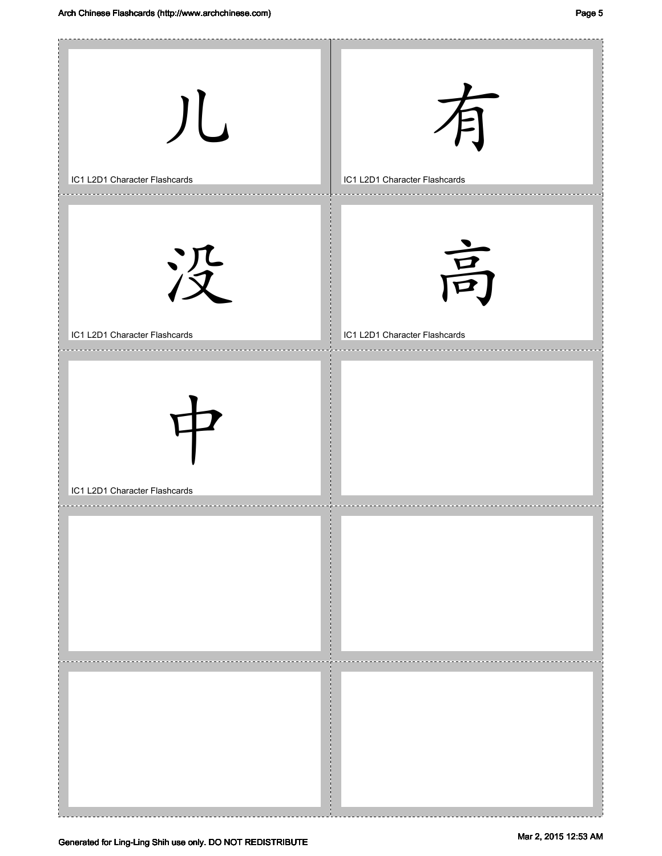